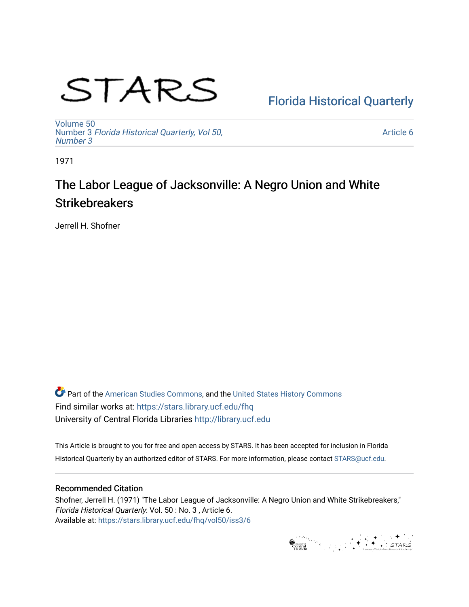# STARS

[Florida Historical Quarterly](https://stars.library.ucf.edu/fhq) 

[Volume 50](https://stars.library.ucf.edu/fhq/vol50) Number 3 [Florida Historical Quarterly, Vol 50,](https://stars.library.ucf.edu/fhq/vol50/iss3)  [Number 3](https://stars.library.ucf.edu/fhq/vol50/iss3)

[Article 6](https://stars.library.ucf.edu/fhq/vol50/iss3/6) 

1971

# The Labor League of Jacksonville: A Negro Union and White **Strikebreakers**

Jerrell H. Shofner

**C** Part of the [American Studies Commons](http://network.bepress.com/hgg/discipline/439?utm_source=stars.library.ucf.edu%2Ffhq%2Fvol50%2Fiss3%2F6&utm_medium=PDF&utm_campaign=PDFCoverPages), and the United States History Commons Find similar works at: <https://stars.library.ucf.edu/fhq> University of Central Florida Libraries [http://library.ucf.edu](http://library.ucf.edu/) 

This Article is brought to you for free and open access by STARS. It has been accepted for inclusion in Florida Historical Quarterly by an authorized editor of STARS. For more information, please contact [STARS@ucf.edu.](mailto:STARS@ucf.edu)

## Recommended Citation

Shofner, Jerrell H. (1971) "The Labor League of Jacksonville: A Negro Union and White Strikebreakers," Florida Historical Quarterly: Vol. 50 : No. 3 , Article 6. Available at: [https://stars.library.ucf.edu/fhq/vol50/iss3/6](https://stars.library.ucf.edu/fhq/vol50/iss3/6?utm_source=stars.library.ucf.edu%2Ffhq%2Fvol50%2Fiss3%2F6&utm_medium=PDF&utm_campaign=PDFCoverPages) 

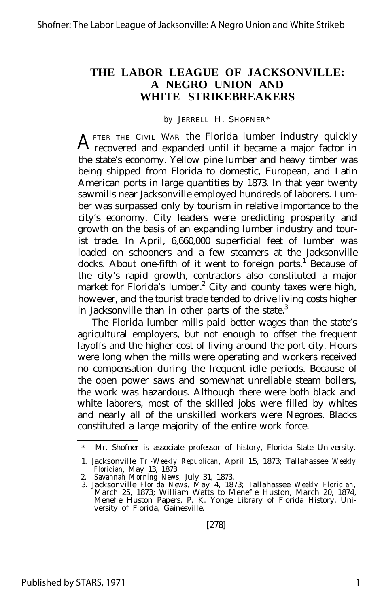### **THE LABOR LEAGUE OF JACKSONVILLE: A NEGRO UNION AND WHITE STRIKEBREAKERS**

*by* JERRELL H. SHOFNER\*

A FTER THE CIVIL WAR the Florida lumber industry quickly recovered and expanded until it became a major factor in FTER THE CIVIL WAR the Florida lumber industry quickly the state's economy. Yellow pine lumber and heavy timber was being shipped from Florida to domestic, European, and Latin American ports in large quantities by 1873. In that year twenty sawmills near Jacksonville employed hundreds of laborers. Lumber was surpassed only by tourism in relative importance to the city's economy. City leaders were predicting prosperity and growth on the basis of an expanding lumber industry and tourist trade. In April, 6,660,000 superficial feet of lumber was loaded on schooners and a few steamers at the Jacksonville docks. About one-fifth of it went to foreign ports.<sup>1</sup> Because of the city's rapid growth, contractors also constituted a major market for Florida's lumber.<sup>2</sup> City and county taxes were high, however, and the tourist trade tended to drive living costs higher in Jacksonville than in other parts of the state.<sup>3</sup>

The Florida lumber mills paid better wages than the state's agricultural employers, but not enough to offset the frequent layoffs and the higher cost of living around the port city. Hours were long when the mills were operating and workers received no compensation during the frequent idle periods. Because of the open power saws and somewhat unreliable steam boilers, the work was hazardous. Although there were both black and white laborers, most of the skilled jobs were filled by whites and nearly all of the unskilled workers were Negroes. Blacks constituted a large majority of the entire work force.

Mr. Shofner is associate professor of history, Florida State University.

<sup>1.</sup> Jacksonville *Tri-Weekly Republican,* April 15, 1873; Tallahassee *Weekly Floridian,* May 13, 1873.

<sup>2.</sup> *Savannah Morning News,* July 31, 1873. 3. Jacksonville *Florida News,* May 4, 1873; Tallahassee *Weekly Floridian,* March 25, 1873; William Watts to Menefie Huston, March 20, 1874, Menefie Huston Papers, P. K. Yonge Library of Florida History, University of Florida, Gainesville.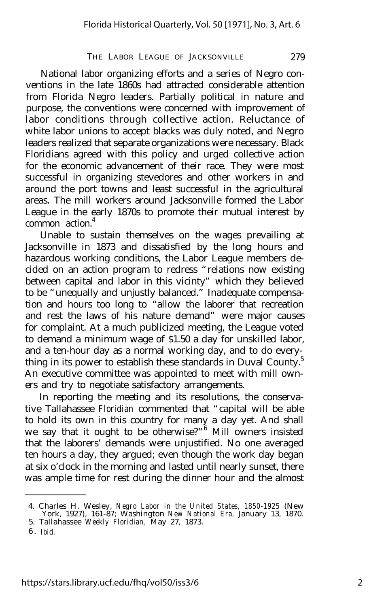#### THE LABOR LEAGUE OF JACKSONVILLE 279

National labor organizing efforts and a series of Negro conventions in the late 1860s had attracted considerable attention from Florida Negro leaders. Partially political in nature and purpose, the conventions were concerned with improvement of labor conditions through collective action. Reluctance of white labor unions to accept blacks was duly noted, and Negro leaders realized that separate organizations were necessary. Black Floridians agreed with this policy and urged collective action for the economic advancement of their race. They were most successful in organizing stevedores and other workers in and around the port towns and least successful in the agricultural areas. The mill workers around Jacksonville formed the Labor League in the early 1870s to promote their mutual interest by common action.<sup>4</sup>

Unable to sustain themselves on the wages prevailing at Jacksonville in 1873 and dissatisfied by the long hours and hazardous working conditions, the Labor League members decided on an action program to redress "relations now existing between capital and labor in this vicinty" which they believed to be "unequally and unjustly balanced." Inadequate compensation and hours too long to "allow the laborer that recreation and rest the laws of his nature demand" were major causes for complaint. At a much publicized meeting, the League voted to demand a minimum wage of \$1.50 a day for unskilled labor, and a ten-hour day as a normal working day, and to do everything in its power to establish these standards in Duval County.<sup>5</sup> An executive committee was appointed to meet with mill owners and try to negotiate satisfactory arrangements.

In reporting the meeting and its resolutions, the conservative Tallahassee *Floridian* commented that "capital will be able to hold its own in this country for many a day yet. And shall we say that it ought to be otherwise?"<sup>6</sup> Mill owners insisted that the laborers' demands were unjustified. No one averaged ten hours a day, they argued; even though the work day began at six o'clock in the morning and lasted until nearly sunset, there was ample time for rest during the dinner hour and the almost

<sup>4.</sup> Charles H. Wesley, *Negro Labor in the United States, 1850-1925* (New York, 1927), 161-87; Washington *New National Era,* January 13, 1870.

<sup>5.</sup> Tallahassee *Weekly Floridian,* May 27, 1873.

<sup>6</sup> . *Ibid.*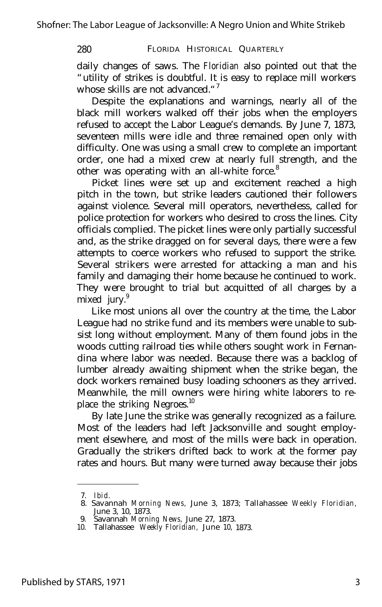#### 280 FLORIDA HISTORICAL QUARTERLY

daily changes of saws. The *Floridian* also pointed out that the "utility of strikes is doubtful. It is easy to replace mill workers whose skills are not advanced."<sup>7</sup>

Despite the explanations and warnings, nearly all of the black mill workers walked off their jobs when the employers refused to accept the Labor League's demands. By June 7, 1873, seventeen mills were idle and three remained open only with difficulty. One was using a small crew to complete an important order, one had a mixed crew at nearly full strength, and the other was operating with an all-white force.<sup>8</sup>

Picket lines were set up and excitement reached a high pitch in the town, but strike leaders cautioned their followers against violence. Several mill operators, nevertheless, called for police protection for workers who desired to cross the lines. City officials complied. The picket lines were only partially successful and, as the strike dragged on for several days, there were a few attempts to coerce workers who refused to support the strike. Several strikers were arrested for attacking a man and his family and damaging their home because he continued to work. They were brought to trial but acquitted of all charges by a mixed jury.<sup>9</sup>

Like most unions all over the country at the time, the Labor League had no strike fund and its members were unable to subsist long without employment. Many of them found jobs in the woods cutting railroad ties while others sought work in Fernandina where labor was needed. Because there was a backlog of lumber already awaiting shipment when the strike began, the dock workers remained busy loading schooners as they arrived. Meanwhile, the mill owners were hiring white laborers to replace the striking Negroes.<sup>10</sup>

By late June the strike was generally recognized as a failure. Most of the leaders had left Jacksonville and sought employment elsewhere, and most of the mills were back in operation. Gradually the strikers drifted back to work at the former pay rates and hours. But many were turned away because their jobs

<sup>7.</sup> *Ibid.* 8. Savannah *Morning News,* June 3, 1873; Tallahassee *Weekly Floridian,* June 3, 10, 1873.

<sup>9.</sup> Savannah *Morning News,* June 27, 1873.

<sup>10.</sup> Tallahassee *Weekly Floridian,* June 10, 1873.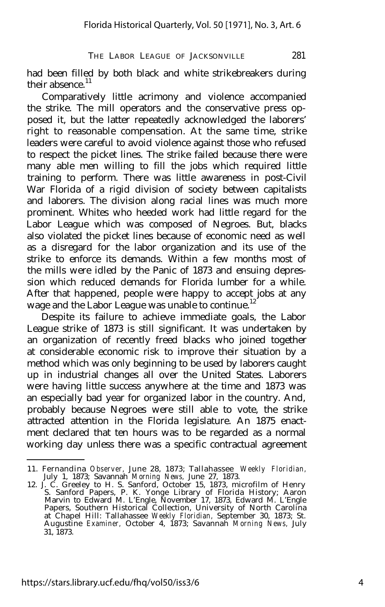THE LABOR LEAGUE OF JACKSONVILLE 281

had been filled by both black and white strikebreakers during their absence.<sup>11</sup>

Comparatively little acrimony and violence accompanied the strike. The mill operators and the conservative press opposed it, but the latter repeatedly acknowledged the laborers' right to reasonable compensation. At the same time, strike leaders were careful to avoid violence against those who refused to respect the picket lines. The strike failed because there were many able men willing to fill the jobs which required little training to perform. There was little awareness in post-Civil War Florida of a rigid division of society between capitalists and laborers. The division along racial lines was much more prominent. Whites who heeded work had little regard for the Labor League which was composed of Negroes. But, blacks also violated the picket lines because of economic need as well as a disregard for the labor organization and its use of the strike to enforce its demands. Within a few months most of the mills were idled by the Panic of 1873 and ensuing depression which reduced demands for Florida lumber for a while. After that happened, people were happy to accept jobs at any wage and the Labor League was unable to continue.<sup>12</sup>

Despite its failure to achieve immediate goals, the Labor League strike of 1873 is still significant. It was undertaken by an organization of recently freed blacks who joined together at considerable economic risk to improve their situation by a method which was only beginning to be used by laborers caught up in industrial changes all over the United States. Laborers were having little success anywhere at the time and 1873 was an especially bad year for organized labor in the country. And, probably because Negroes were still able to vote, the strike attracted attention in the Florida legislature. An 1875 enactment declared that ten hours was to be regarded as a normal working day unless there was a specific contractual agreement

<sup>11.</sup> Fernandina *Observer,* June 28, 1873; Tallahassee *Weekly Floridian,* July 1, 1873; Savannah *Morning News,* June 27, 1873.

<sup>12.</sup> J. C. Greeley to H. S. Sanford, October 15, 1873, microfilm of Henry S. Sanford Papers, P. K. Yonge Library of Florida History; Aaron Marvin to Edward M. L'Engle, November 17, 1873, Edward M. L'Engle Papers, Southern Historical Collection, University of North Carolina at Chapel Hill: Tallahassee *Weekly Floridian,* September 30, 1873; St. Augustine *Examiner,* October 4, 1873; Savannah *Morning News,* July 31, 1873.